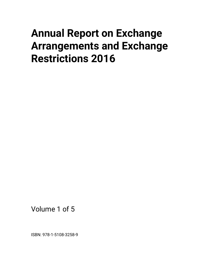## **Annual Report on Exchange Arrangements and Exchange Restrictions 2016**

Volume 1 of 5

ISBN: 978-1-5108-3258-9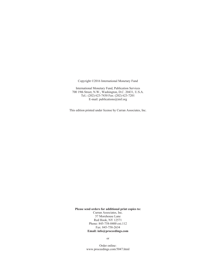Copyright ©2016 International Monetary Fund

International Monetary Fund, Publication Services 700 19th Street, N.W., Washington, D.C. 20431, U.S.A. Tel.: (202) 623-7430 Fax: (202) 623-7201 E-mail: publications@imf.org

This edition printed under license by Curran Associates, Inc.

**Please send orders for additional print copies to:** 

Curran Associates, Inc. 57 Morehouse Lane Red Hook, NY 12571 Phone: 845-758-0400 ext.112 Fax: 845-758-2634 **Email: info@proceedings.com** 

or

Order online: www.proceedings.com/5047.html